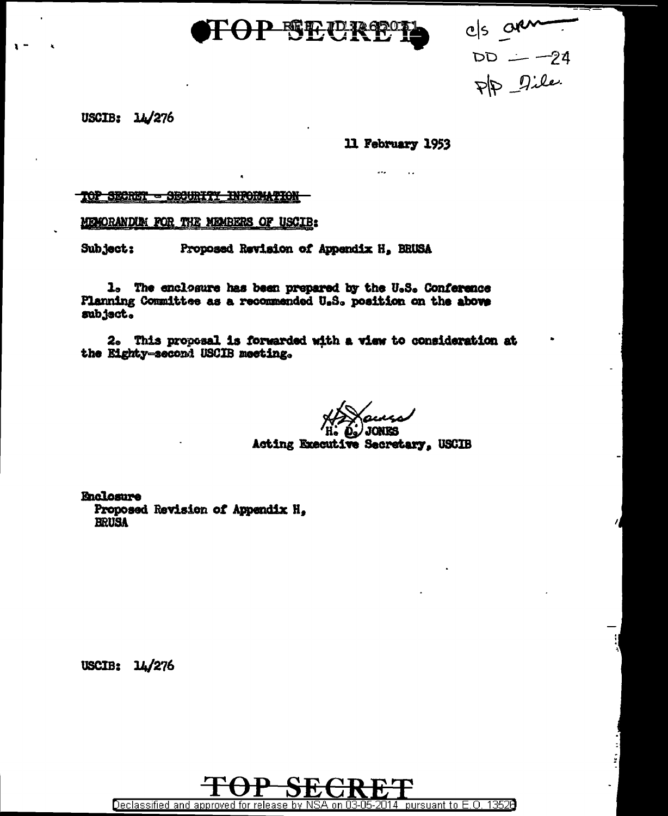

 $\begin{array}{rcl} \text{cls} & \text{of } & \\ \text{LDD} & \text{if } & \text{if } & \\ \text{LDD} & \text{if } & \text{if } & \\ \text{LDD} & \text{if } & \text{if } & \text{if } & \\ \end{array}$ 

USCIB:  $14/276$ 

# 11 February 1953

TOP SECRET - SECURITY INFORMATION

MEMORANDUM FOR THE MEMBERS OF USCIB:

Subject: Proposed Revision of Appendix H, BRUSA

1. The enclosure has been prepared by the U.S. Conference Planning Committee as a recommended U.S. position on the above subject.

2. This proposal is forwarded with a view to consideration at the Eighty-second USCIB meeting.

**JONES** Acting Executive Secretary, USCIB

**Enclosure** Proposed Revision of Appendix H. **BRUSA** 

USCIB:  $14/276$ 

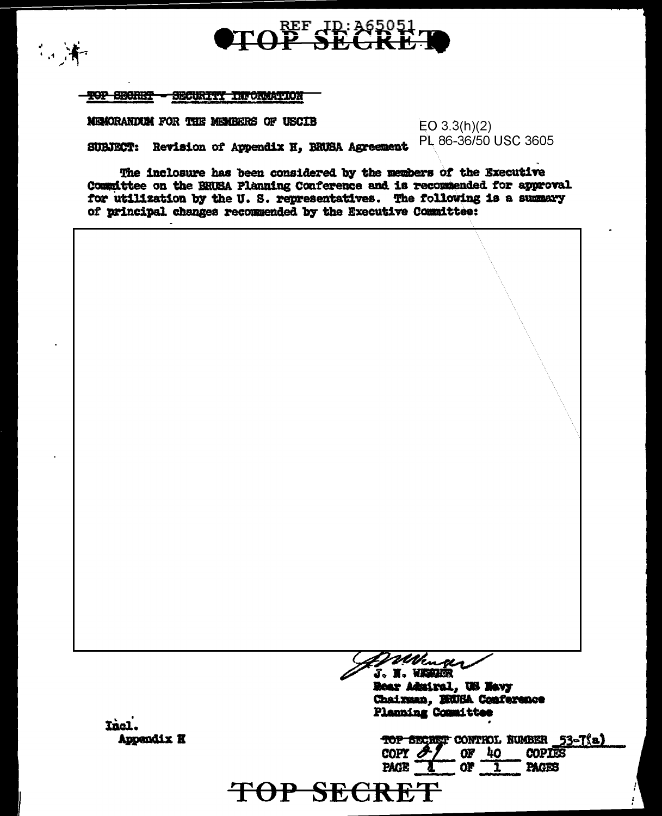

**TOP SECRET - SECURITY INFORMATION** 

三洋

MEMORANTEM FOR THE MEMBERS OF USCIB

 $EO$  3.3(h)(2) PL 86-36/50 USC 3605

Revision of Appendix H, BRUSA Agreement **SUBJECT:** 

The inclosure has been considered by the members of the Executive Committee on the BRUSA Planning Conference and is recommended for approval for utilization by the U.S. representatives. The following is a summary of principal changes recommended by the Executive Committee:



Rear Admiral, US Navy Chairman, DRUBA Conference Planning Committee

Thel. Appendix K

TOP SECRET CONTROL NUMBER 53-T(a) COPY  $\mathscr{F}$  $OF$  40 **COPIES** PAGE<sup>-</sup>  $or$   $\overline{1}$ **PAGES** 

TOP SECRET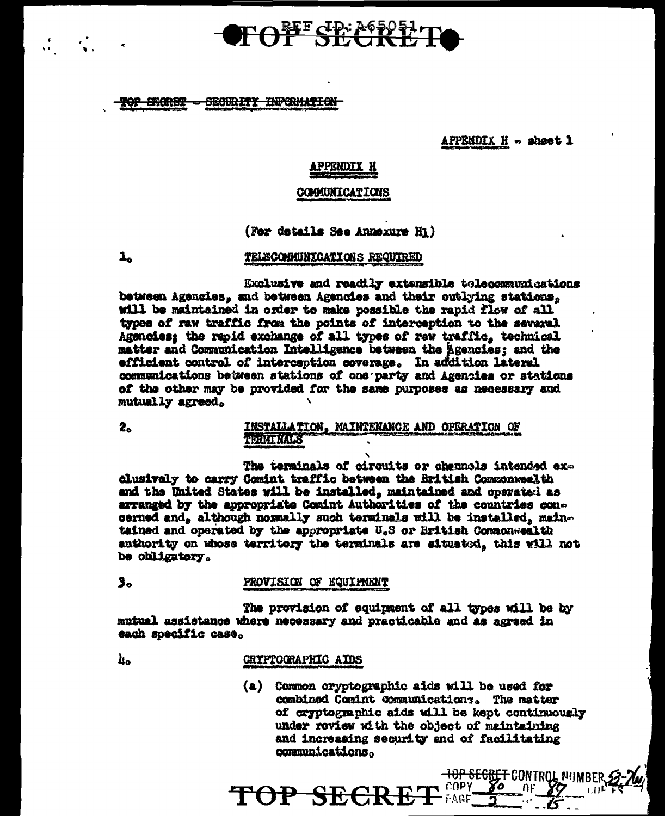# OFOFF SECTRE

#### **TOP SHORET - SECURITY INFORMATION**

APPENDIX  $H -$  sheet 1

# **APPENDIX H**

#### **COMMUNICATIONS**

(For details See Annexure Hi)

 $\mathbf{1}_{\mathbf{a}}$ 

### TELECOMUNICATIONS REQUIRED

Exclusive and readily extensible telecommunications between Agencies, and between Agencies and their outlying stations, will be maintained in order to make possible the rapid flow of all types of raw traffic from the points of interception to the several Agencies: the rapid exchange of all types of raw traffic, technical matter and Communication Intelligence between the agencies; and the efficient control of interception coverage. In addition lateral communications between stations of one party and Agencies or stations of the other may be provided for the same purposes as necessary and mutually agreed.

2.

### INSTALLATION. MAINTENANCE AND OFERATION OF **TORIAL MALES**

The terminals of circuits or channels intended exclusively to carry Comint traffic between the British Commonwealth and the United States will be installed, maintained and operatorl as arranged by the appropriate Comint Authorities of the countries concerned and, although normally such terminals will be installed, maintained and operated by the appropriate U.S or British Commonwealth authority on whose territory the terminals are aituated, this will not be obligatory.

#### $3<sub>o</sub>$ PROVISION OF EQUIPMENT

The provision of equipment of all types will be by mutual assistance where necessary and practicable and as agreed in each specific case.

40

#### **CRYPTOGRAPHIC AIDS**

TOP SECRE

(a) Common cryptographic aids will be used for combined Comint Communications. The matter of cryptographic aids will be kept continuously under review with the object of maintaining and increasing security and of facilitating communications.

ι COPY

- FAGF

<del>-10P SEGRET</del> CONTROL NIIMRF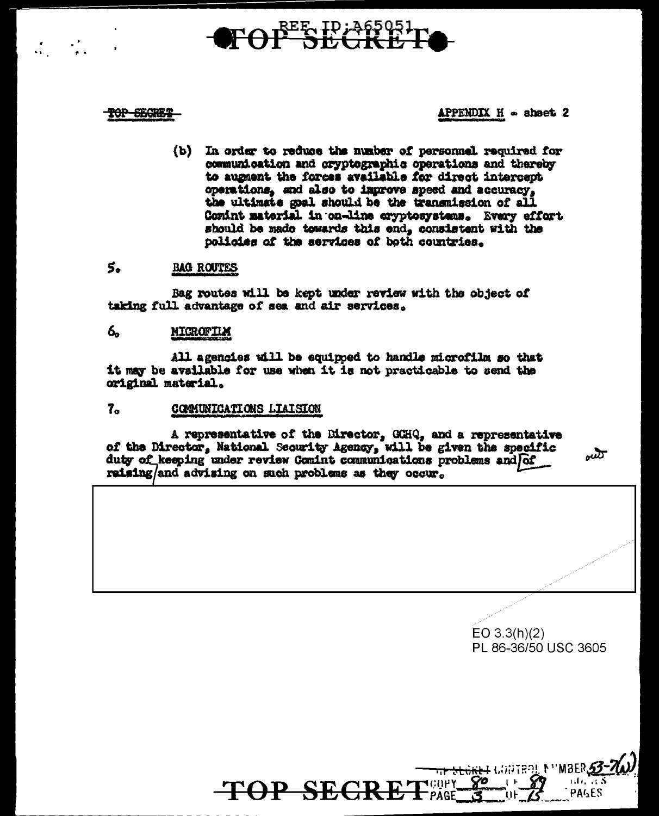# $\mathbf{F}\Theta\mathbf{f}^{\text{EE}}\mathbf{S}\mathbf{E}\mathbf{G}\mathbf{K}\mathbf{F}$

## <del>TOP SEGRET</del>

## APPENDIX  $H =$  sheet 2

(b) In order to reduce the number of personnel required for communication and cryptographic operations and thereby to auguent the forces available for direct intercept operations, and also to improve speed and accuracy, the ultimate goal should be the transmission of all Comint material in on-line cryptosystems. Every effort should be made towards this end, consistent with the policies of the services of both countries.

#### 5. **BAG ROUTES**

Bag routes will be kept under review with the object of taking full advantage of sea and air services.

#### 6. MICROFILM

All agencies will be equipped to handle microfilm so that it may be available for use when it is not practicable to send the original material.

 $7a$ COMUNICATIONS LIAISION

A representative of the Director, GCHQ, and a representative of the Director, National Security Agency, will be given the specific duty of keeping under review Comint communications problems and of raising/and advising on such problems as they occur.

 $\omega$ 

 $EO 3.3(h)(2)$ PL 86-36/50 USC 3605

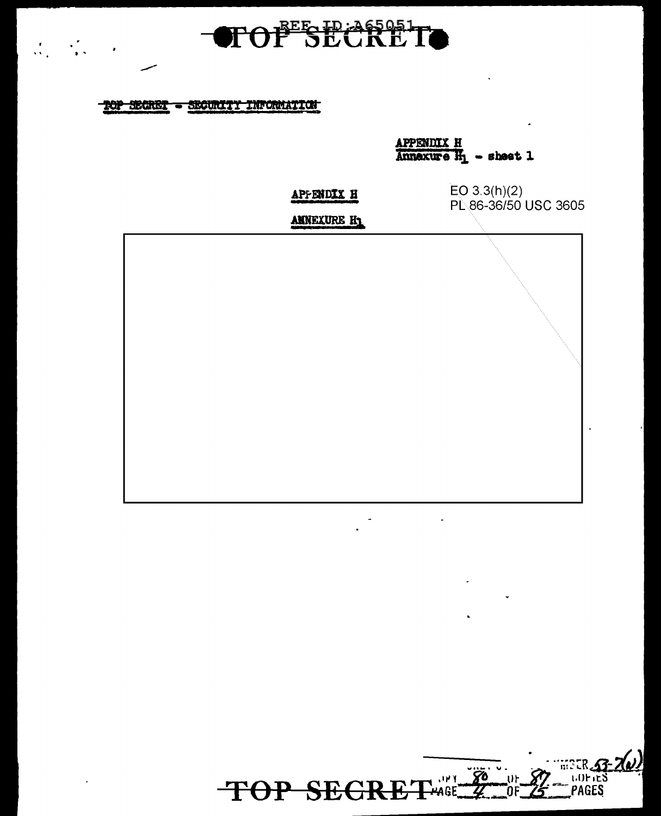

# TOP SECRET - SECURITY INFORMATION

 $\frac{1}{2} \sum_{i=1}^n \frac{1}{2} \sum_{j=1}^n \frac{1}{2} \sum_{j=1}^n \frac{1}{2} \sum_{j=1}^n \frac{1}{2} \sum_{j=1}^n \frac{1}{2} \sum_{j=1}^n \frac{1}{2} \sum_{j=1}^n \frac{1}{2} \sum_{j=1}^n \frac{1}{2} \sum_{j=1}^n \frac{1}{2} \sum_{j=1}^n \frac{1}{2} \sum_{j=1}^n \frac{1}{2} \sum_{j=1}^n \frac{1}{2} \sum_{j=1}^n \frac{1}{2} \sum_{j=$ 

APPENDIX H<br>Annexure  $H_1 -$  sheet 1

APPENDIX H

 $EO$  3.3(h)(2) PL 86-36/50 USC 3605

ANNEXURE H1



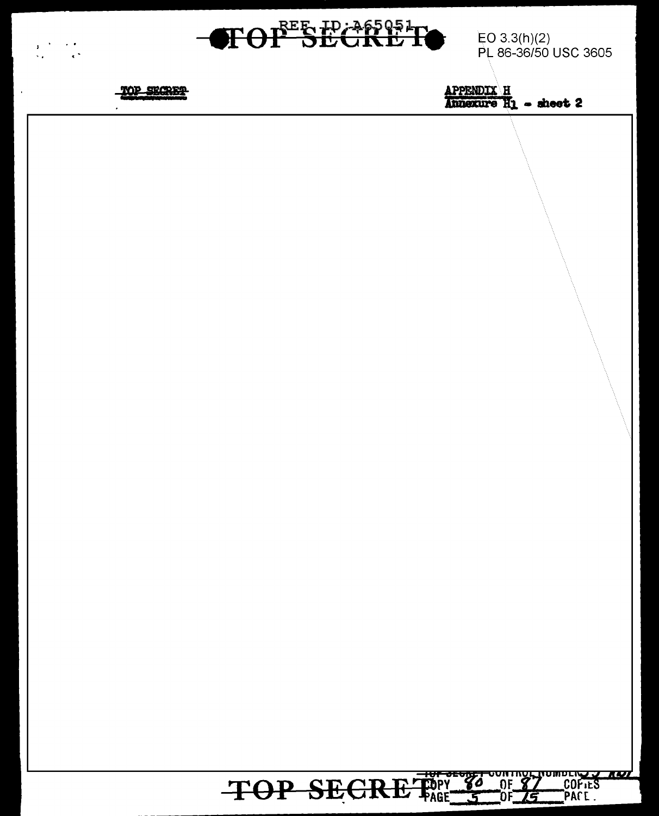

EO  $3.3(h)(2)$ PL 86-36/50 USC 3605



 $\frac{1}{2} \sum_{i=1}^{n} \frac{1}{2} \sum_{j=1}^{n} \frac{1}{2} \sum_{j=1}^{n} \frac{1}{2} \sum_{j=1}^{n} \frac{1}{2} \sum_{j=1}^{n} \frac{1}{2} \sum_{j=1}^{n} \frac{1}{2} \sum_{j=1}^{n} \frac{1}{2} \sum_{j=1}^{n} \frac{1}{2} \sum_{j=1}^{n} \frac{1}{2} \sum_{j=1}^{n} \frac{1}{2} \sum_{j=1}^{n} \frac{1}{2} \sum_{j=1}^{n} \frac{1}{2} \sum_{j=1}^{n$ 

 $\mathcal{A}$ 

 $\frac{\text{APPENDIX} \times \text{H}}{\text{Answer} \times \text{H}_1} = \text{sheet 2}$ 

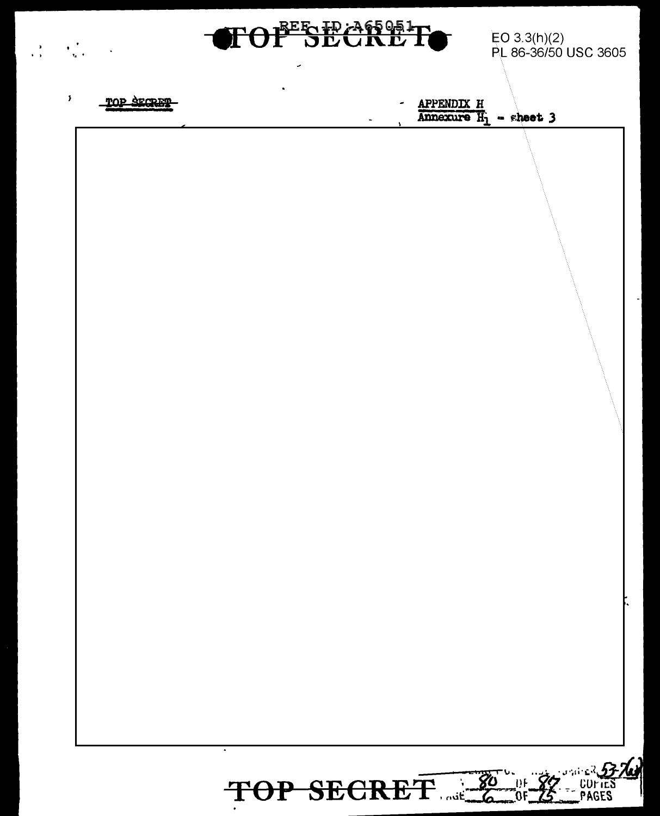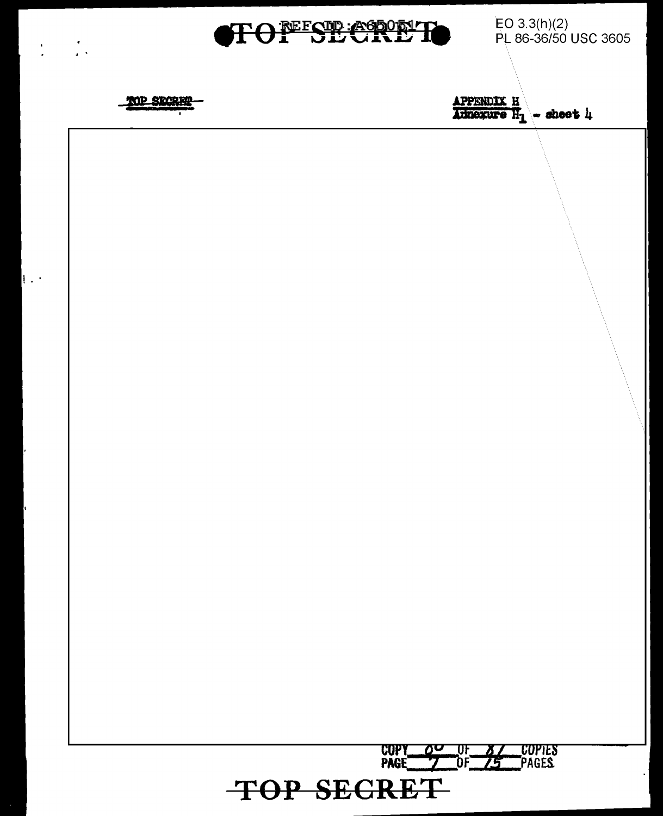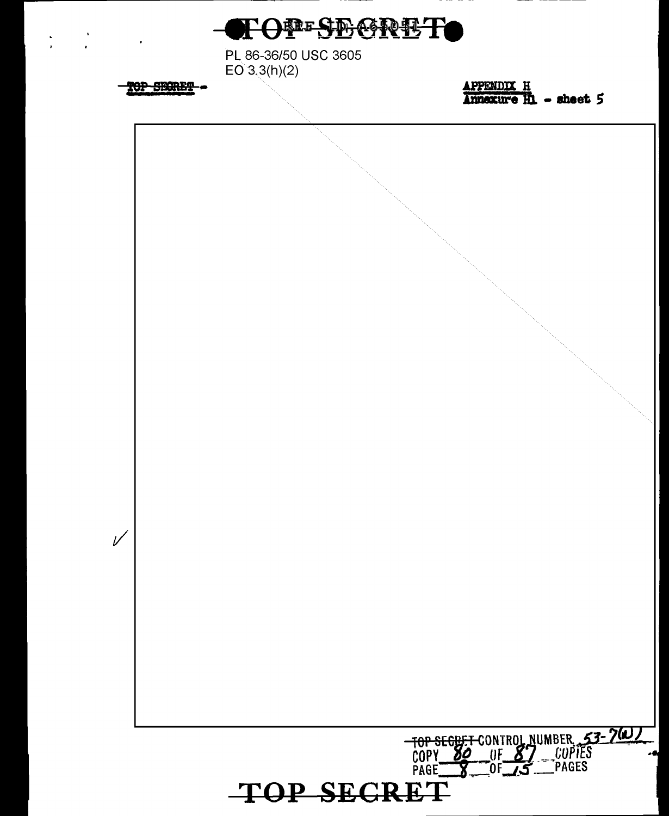

PL 86-36/50 USC 3605  $EO^3, 3(h)(2)$ 

TOP SECRET-

 $\frac{1}{2}$ 

 $\frac{\text{APPENDIX} \quad H}{\text{Annaxure} \quad H}$  - sheet 5

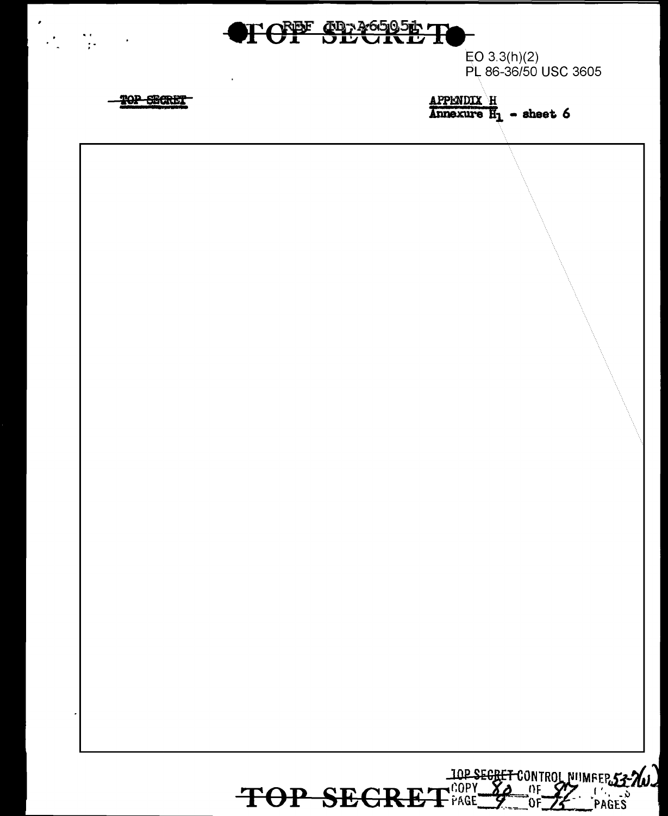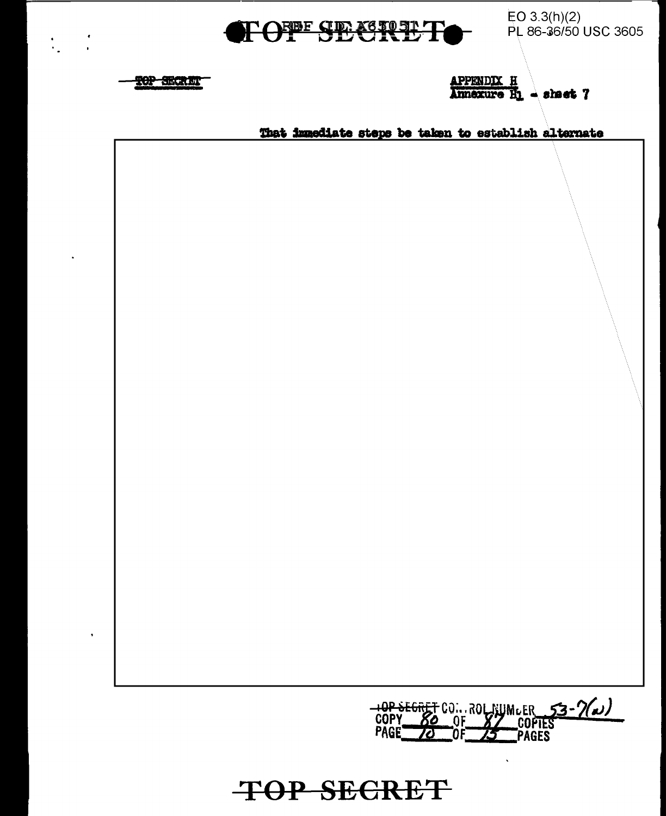

 $EO 3.3(h)(2)$ PL 86-36/50 USC 3605



 $\frac{1}{2}$ 

 $\frac{1}{2}$ 

 $\frac{APPENDIX \quad H}{\text{Amexure} \quad H}$  aheat 7

That immediate steps be taken to establish alternate

10P SEGRET COM ROL NUMLER 53-7(a)

**TOP SECRET**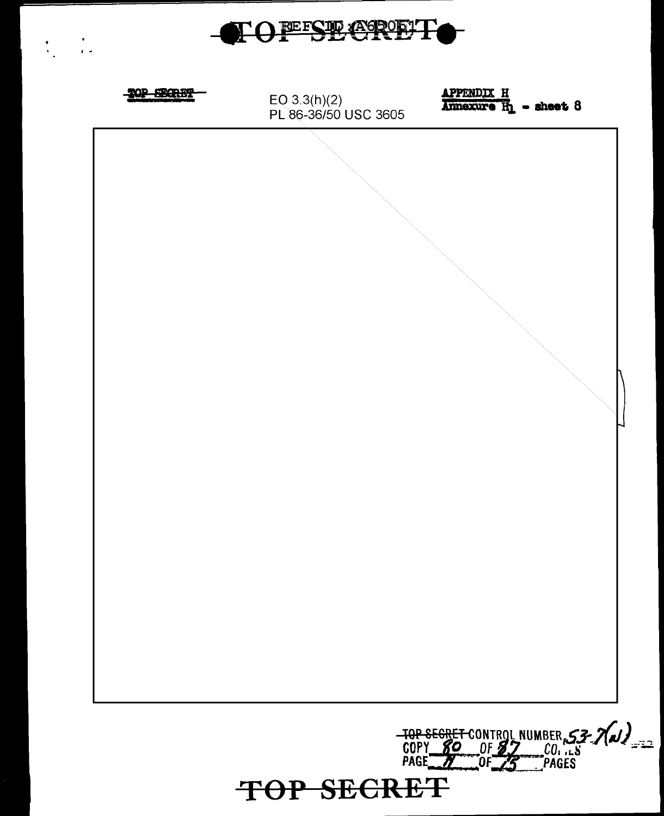

 $\frac{1}{1+\epsilon}$ 



TOP SECRET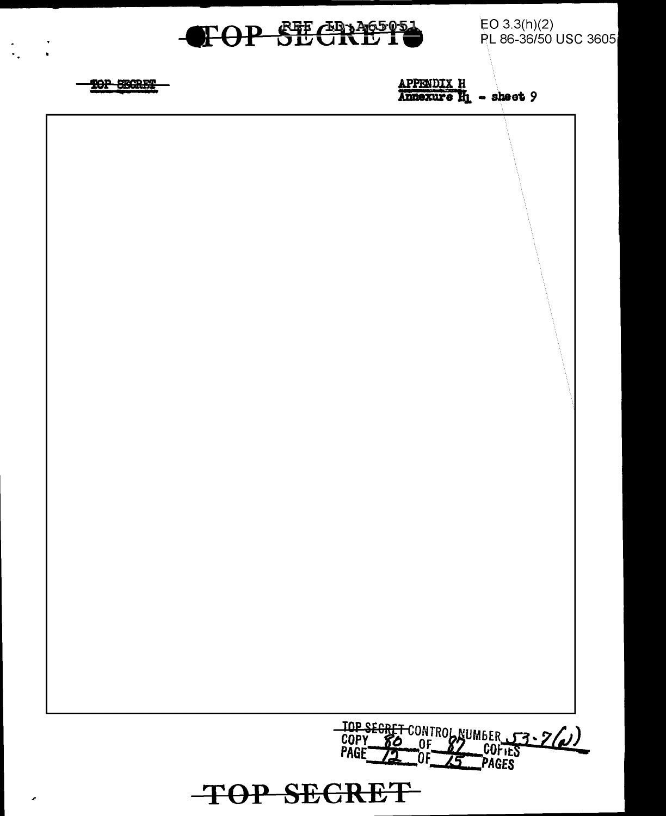

TOP SECRET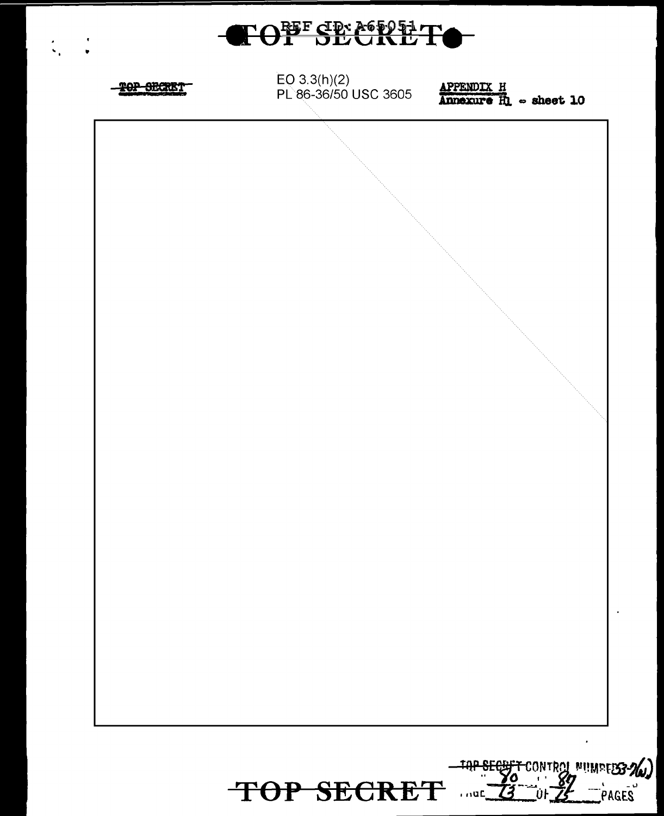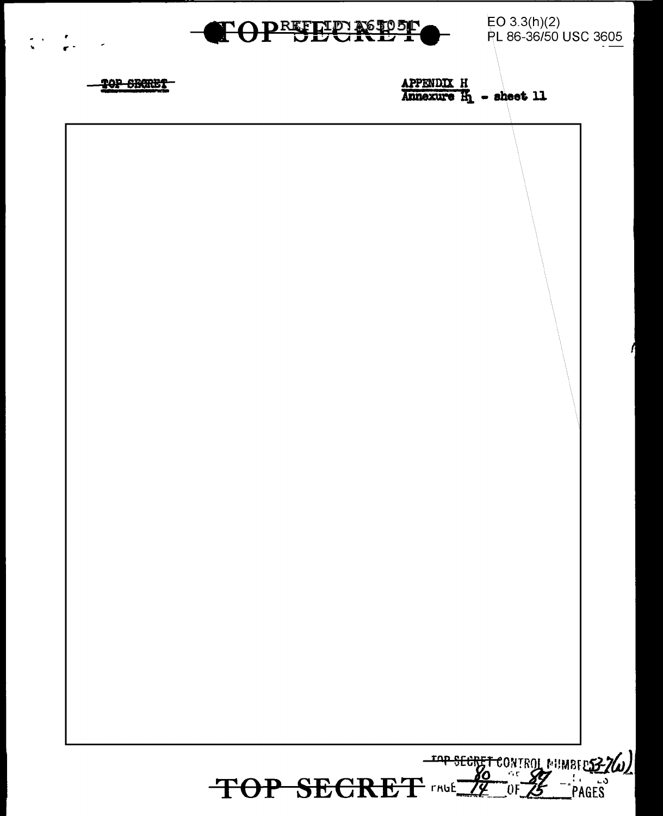

EO 3.3(h)(2)<br>PL 86-36/50 USC 3605



APPENDIX H  $\overline{\text{Annexure}}$   $\overline{\text{An}}$  - sheet 11